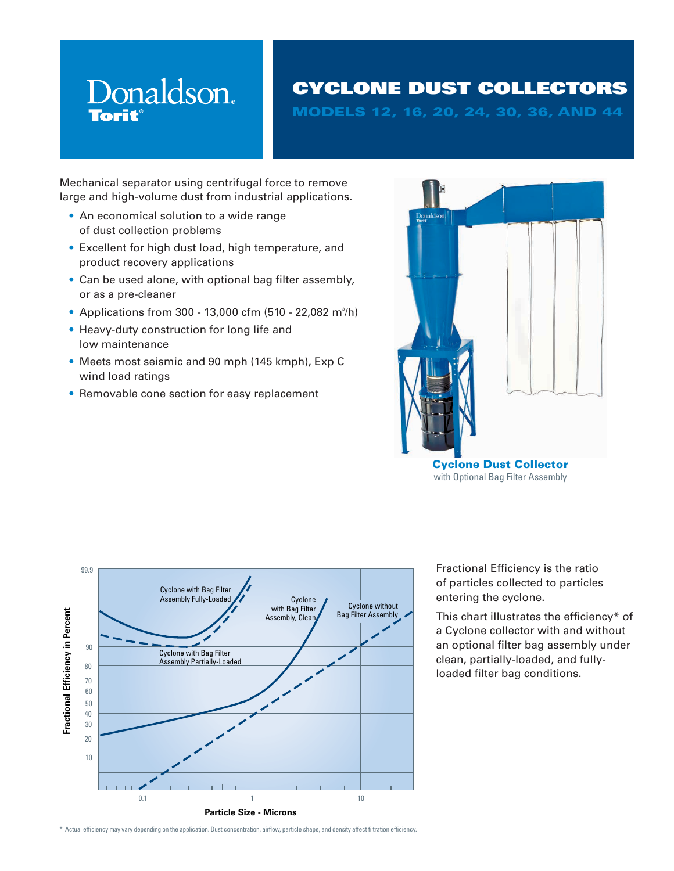# Donaldson. **Torit**

# CYCLONE DUST COLLECTORS

MODELS 12, 16, 20, 24, 30, 36, AND 44

Mechanical separator using centrifugal force to remove large and high-volume dust from industrial applications.

- An economical solution to a wide range of dust collection problems
- Excellent for high dust load, high temperature, and product recovery applications
- Can be used alone, with optional bag filter assembly, or as a pre-cleaner
- Applications from 300 13,000 cfm (510 22,082 m $^3$ /h)
- Heavy-duty construction for long life and low maintenance
- Meets most seismic and 90 mph (145 kmph), Exp C wind load ratings
- Removable cone section for easy replacement





Fractional Efficiency is the ratio of particles collected to particles entering the cyclone.

This chart illustrates the efficiency\* of a Cyclone collector with and without an optional filter bag assembly under clean, partially-loaded, and fullyloaded filter bag conditions.

\* Actual efficiency may vary depending on the application. Dust concentration, airflow, particle shape, and density affect filtration efficiency.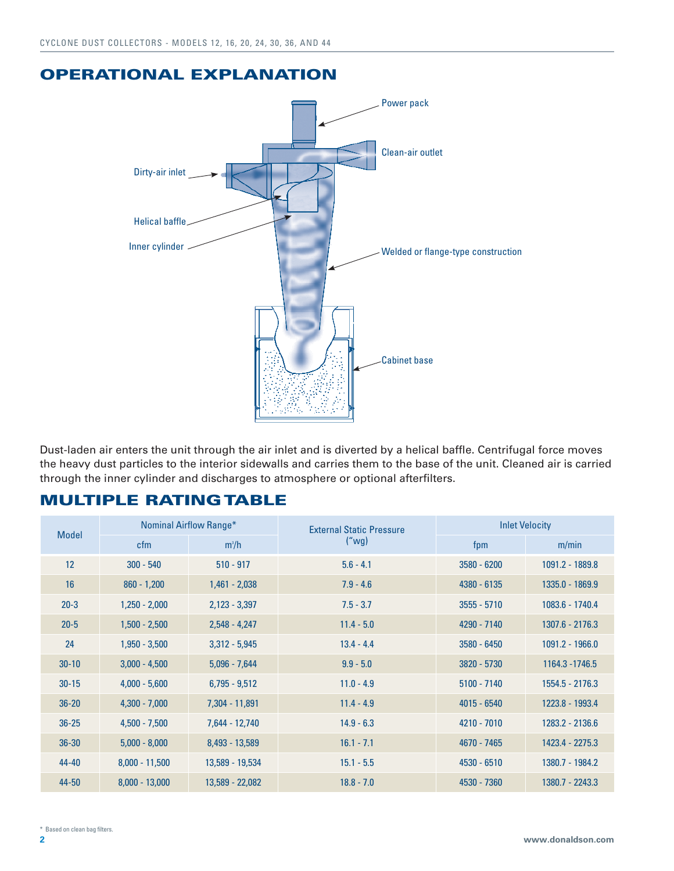### OPERATIONAL EXPLANATION



Dust-laden air enters the unit through the air inlet and is diverted by a helical baffle. Centrifugal force moves the heavy dust particles to the interior sidewalls and carries them to the base of the unit. Cleaned air is carried through the inner cylinder and discharges to atmosphere or optional afterfilters.

### MULTIPLE RATING TABLE

| Nominal Airflow Range*<br><b>Model</b> |                  |                 | <b>External Static Pressure</b> | <b>Inlet Velocity</b> |                 |  |  |
|----------------------------------------|------------------|-----------------|---------------------------------|-----------------------|-----------------|--|--|
|                                        | cfm              | $m^3/h$         | ("wg)                           | fpm                   | m/min           |  |  |
| 12                                     | $300 - 540$      | $510 - 917$     | $5.6 - 4.1$                     | $3580 - 6200$         | 1091.2 - 1889.8 |  |  |
| 16                                     | $860 - 1,200$    | $1,461 - 2,038$ | $7.9 - 4.6$                     | 4380 - 6135           | 1335.0 - 1869.9 |  |  |
| $20 - 3$                               | $1,250 - 2,000$  | $2,123 - 3,397$ | $7.5 - 3.7$                     | $3555 - 5710$         | 1083.6 - 1740.4 |  |  |
| $20 - 5$                               | $1,500 - 2,500$  | $2,548 - 4,247$ | $11.4 - 5.0$                    | 4290 - 7140           | 1307.6 - 2176.3 |  |  |
| 24                                     | $1,950 - 3,500$  | $3,312 - 5,945$ | $13.4 - 4.4$                    | $3580 - 6450$         | 1091.2 - 1966.0 |  |  |
| $30 - 10$                              | $3,000 - 4,500$  | $5,096 - 7,644$ | $9.9 - 5.0$                     | 3820 - 5730           | 1164.3 - 1746.5 |  |  |
| $30 - 15$                              | $4,000 - 5,600$  | $6,795 - 9,512$ | $11.0 - 4.9$                    | $5100 - 7140$         | 1554.5 - 2176.3 |  |  |
| $36 - 20$                              | $4,300 - 7,000$  | 7,304 - 11,891  | $11.4 - 4.9$                    | $4015 - 6540$         | 1223.8 - 1993.4 |  |  |
| $36 - 25$                              | $4,500 - 7,500$  | 7,644 - 12,740  | $14.9 - 6.3$                    | 4210 - 7010           | 1283.2 - 2136.6 |  |  |
| $36 - 30$                              | $5,000 - 8,000$  | 8,493 - 13,589  | $16.1 - 7.1$                    | 4670 - 7465           | 1423.4 - 2275.3 |  |  |
| $44 - 40$                              | $8,000 - 11,500$ | 13,589 - 19,534 | $15.1 - 5.5$                    | $4530 - 6510$         | 1380.7 - 1984.2 |  |  |
| 44-50                                  | $8,000 - 13,000$ | 13,589 - 22,082 | $18.8 - 7.0$                    | 4530 - 7360           | 1380.7 - 2243.3 |  |  |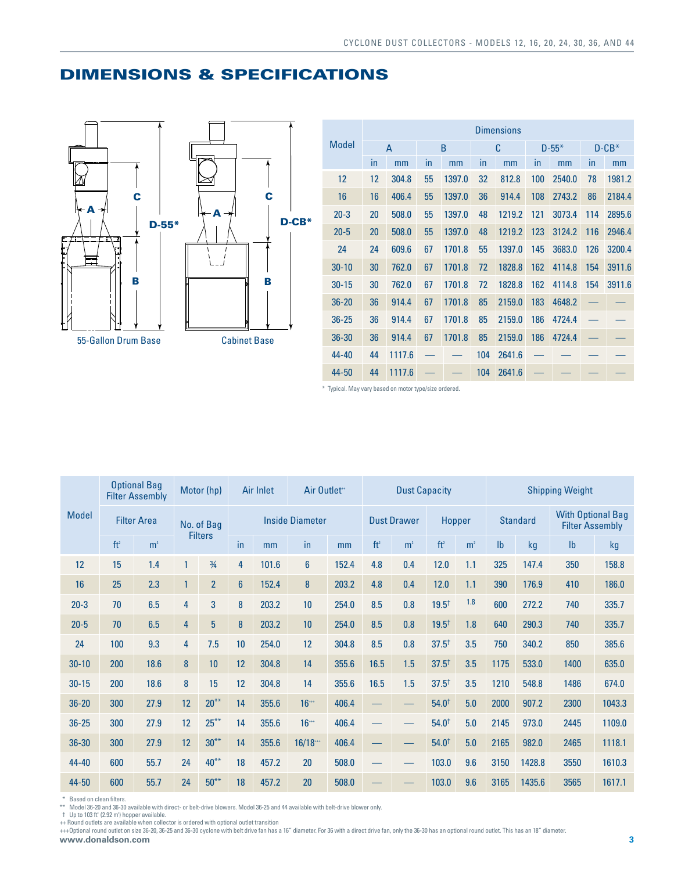

| <b>DIMENSIONS &amp; SPECIFICATIONS</b> |  |  |
|----------------------------------------|--|--|
|                                        |  |  |

|              | <b>Dimensions</b> |                |    |        |     |        |     |           |         |        |
|--------------|-------------------|----------------|----|--------|-----|--------|-----|-----------|---------|--------|
| <b>Model</b> |                   | $\overline{A}$ |    | B      |     | C      |     | $D - 55*$ | $D-CB*$ |        |
|              | in                | mm             | in | mm     | in  | mm     | in  | mm        | in      | mm     |
| 12           | 12                | 304.8          | 55 | 1397.0 | 32  | 812.8  | 100 | 2540.0    | 78      | 1981.2 |
| 16           | 16                | 406.4          | 55 | 1397.0 | 36  | 914.4  | 108 | 2743.2    | 86      | 2184.4 |
| $20 - 3$     | 20                | 508.0          | 55 | 1397.0 | 48  | 1219.2 | 121 | 3073.4    | 114     | 2895.6 |
| $20 - 5$     | 20                | 508.0          | 55 | 1397.0 | 48  | 1219.2 | 123 | 3124.2    | 116     | 2946.4 |
| 24           | 24                | 609.6          | 67 | 1701.8 | 55  | 1397.0 | 145 | 3683.0    | 126     | 3200.4 |
| $30 - 10$    | 30                | 762.0          | 67 | 1701.8 | 72  | 1828.8 | 162 | 4114.8    | 154     | 3911.6 |
| $30 - 15$    | 30                | 762.0          | 67 | 1701.8 | 72  | 1828.8 | 162 | 4114.8    | 154     | 3911.6 |
| $36 - 20$    | 36                | 914.4          | 67 | 1701.8 | 85  | 2159.0 | 183 | 4648.2    |         |        |
| $36 - 25$    | 36                | 914.4          | 67 | 1701.8 | 85  | 2159.0 | 186 | 4724.4    |         |        |
| $36 - 30$    | 36                | 914.4          | 67 | 1701.8 | 85  | 2159.0 | 186 | 4724.4    |         |        |
| 44-40        | 44                | 1117.6         |    |        | 104 | 2641.6 |     |           |         |        |
| 44-50        | 44                | 1117.6         |    |        | 104 | 2641.6 |     |           |         |        |

\* Typical. May vary based on motor type/size ordered.

|              |                                  | <b>Optional Bag</b><br><b>Filter Assembly</b> |                        | Motor (hp)     | <b>Air Inlet</b> |       | Air Outlet**                 |       | <b>Dust Capacity</b> |                 |                   |                                                    | <b>Shipping Weight</b> |        |               |        |
|--------------|----------------------------------|-----------------------------------------------|------------------------|----------------|------------------|-------|------------------------------|-------|----------------------|-----------------|-------------------|----------------------------------------------------|------------------------|--------|---------------|--------|
| <b>Model</b> | <b>Filter Area</b><br>No. of Bag |                                               | <b>Inside Diameter</b> |                |                  |       | <b>Dust Drawer</b><br>Hopper |       |                      | <b>Standard</b> |                   | <b>With Optional Bag</b><br><b>Filter Assembly</b> |                        |        |               |        |
|              | ft <sup>2</sup>                  | m <sup>2</sup>                                |                        | <b>Filters</b> | in               | mm    | in                           | mm    | ft <sup>2</sup>      | m <sup>2</sup>  | ft <sup>2</sup>   | m <sup>2</sup>                                     | I <sub>b</sub>         | kg     | $\mathsf{lb}$ | kg     |
| 12           | 15                               | 1.4                                           | 1                      | $\frac{3}{4}$  | 4                | 101.6 | $6\phantom{1}$               | 152.4 | 4.8                  | 0.4             | 12.0              | 1.1                                                | 325                    | 147.4  | 350           | 158.8  |
| 16           | 25                               | 2.3                                           | 1                      | $\overline{2}$ | $6\phantom{1}6$  | 152.4 | 8                            | 203.2 | 4.8                  | 0.4             | 12.0              | 1.1                                                | 390                    | 176.9  | 410           | 186.0  |
| $20 - 3$     | 70                               | 6.5                                           | 4                      | 3              | 8                | 203.2 | 10                           | 254.0 | 8.5                  | 0.8             | 19.5 <sup>†</sup> | 1.8                                                | 600                    | 272.2  | 740           | 335.7  |
| $20 - 5$     | 70                               | 6.5                                           | 4                      | 5 <sup>5</sup> | 8                | 203.2 | 10                           | 254.0 | 8.5                  | 0.8             | 19.5 <sup>†</sup> | 1.8                                                | 640                    | 290.3  | 740           | 335.7  |
| 24           | 100                              | 9.3                                           | 4                      | 7.5            | 10               | 254.0 | 12                           | 304.8 | 8.5                  | 0.8             | $37.5^{+}$        | 3.5                                                | 750                    | 340.2  | 850           | 385.6  |
| $30 - 10$    | 200                              | 18.6                                          | 8                      | 10             | 12               | 304.8 | 14                           | 355.6 | 16.5                 | 1.5             | $37.5^{\dagger}$  | 3.5                                                | 1175                   | 533.0  | 1400          | 635.0  |
| $30 - 15$    | 200                              | 18.6                                          | 8                      | 15             | 12               | 304.8 | 14                           | 355.6 | 16.5                 | 1.5             | 37.5 <sup>†</sup> | 3.5                                                | 1210                   | 548.8  | 1486          | 674.0  |
| $36 - 20$    | 300                              | 27.9                                          | 12                     | $20***$        | 14               | 355.6 | $16^{++}$                    | 406.4 |                      |                 | $54.0^{+}$        | 5.0                                                | 2000                   | 907.2  | 2300          | 1043.3 |
| $36 - 25$    | 300                              | 27.9                                          | 12                     | $25***$        | 14               | 355.6 | $16^{++}$                    | 406.4 |                      |                 | $54.0^{+}$        | 5.0                                                | 2145                   | 973.0  | 2445          | 1109.0 |
| $36 - 30$    | 300                              | 27.9                                          | 12                     | $30***$        | 14               | 355.6 | 16/18                        | 406.4 |                      |                 | $54.0^{+}$        | 5.0                                                | 2165                   | 982.0  | 2465          | 1118.1 |
| $44 - 40$    | 600                              | 55.7                                          | 24                     | $40***$        | 18               | 457.2 | 20                           | 508.0 |                      |                 | 103.0             | 9.6                                                | 3150                   | 1428.8 | 3550          | 1610.3 |
| $44 - 50$    | 600                              | 55.7                                          | 24                     | $50***$        | 18               | 457.2 | 20                           | 508.0 |                      |                 | 103.0             | 9.6                                                | 3165                   | 1435.6 | 3565          | 1617.1 |

\* Based on clean filters.

\*\* Model 36-20 and 36-30 available with direct- or belt-drive blowers. Model 36-25 and 44 available with belt-drive blower only.<br>† Up to 103 ft' (2.92 m') hopper available.<br>++ Round outlets are available when collector is

**www.donaldson.com 3** +++Optional round outlet on size 36-20, 36-25 and 36-30 cyclone with belt drive fan has a 16" diameter. For 36 with a direct drive fan, only the 36-30 has an optional round outlet. This has an 18" diameter.